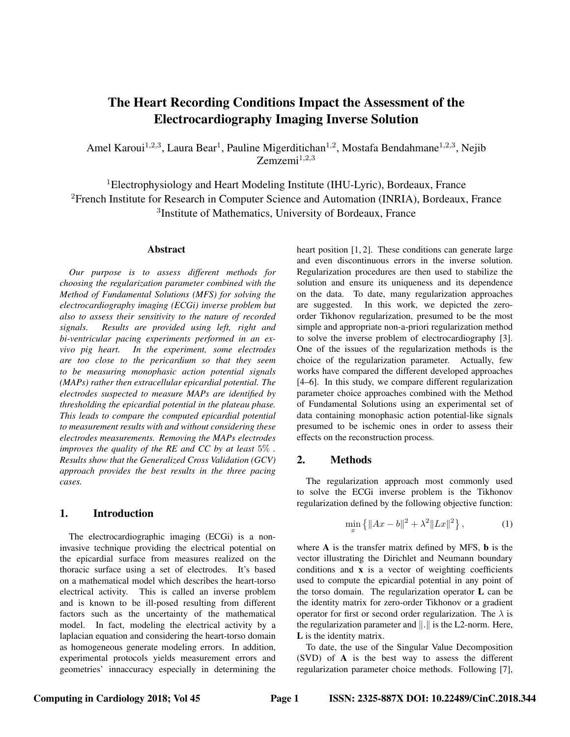# The Heart Recording Conditions Impact the Assessment of the Electrocardiography Imaging Inverse Solution

Amel Karoui<sup>1,2,3</sup>, Laura Bear<sup>1</sup>, Pauline Migerditichan<sup>1,2</sup>, Mostafa Bendahmane<sup>1,2,3</sup>, Nejib  $Zemzemi<sup>1,2,3</sup>$ 

<sup>1</sup>Electrophysiology and Heart Modeling Institute (IHU-Lyric), Bordeaux, France <sup>2</sup>French Institute for Research in Computer Science and Automation (INRIA), Bordeaux, France 3 Institute of Mathematics, University of Bordeaux, France

#### **Abstract**

*Our purpose is to assess different methods for choosing the regularization parameter combined with the Method of Fundamental Solutions (MFS) for solving the electrocardiography imaging (ECGi) inverse problem but also to assess their sensitivity to the nature of recorded signals. Results are provided using left, right and bi-ventricular pacing experiments performed in an exvivo pig heart. In the experiment, some electrodes are too close to the pericardium so that they seem to be measuring monophasic action potential signals (MAPs) rather then extracellular epicardial potential. The electrodes suspected to measure MAPs are identified by thresholding the epicardial potential in the plateau phase. This leads to compare the computed epicardial potential to measurement results with and without considering these electrodes measurements. Removing the MAPs electrodes improves the quality of the RE and CC by at least* 5% *. Results show that the Generalized Cross Validation (GCV) approach provides the best results in the three pacing cases.*

# 1. Introduction

The electrocardiographic imaging (ECGi) is a noninvasive technique providing the electrical potential on the epicardial surface from measures realized on the thoracic surface using a set of electrodes. It's based on a mathematical model which describes the heart-torso electrical activity. This is called an inverse problem and is known to be ill-posed resulting from different factors such as the uncertainty of the mathematical model. In fact, modeling the electrical activity by a laplacian equation and considering the heart-torso domain as homogeneous generate modeling errors. In addition, experimental protocols yields measurement errors and geometries' innaccuracy especially in determining the

heart position [1, 2]. These conditions can generate large and even discontinuous errors in the inverse solution. Regularization procedures are then used to stabilize the solution and ensure its uniqueness and its dependence on the data. To date, many regularization approaches are suggested. In this work, we depicted the zeroorder Tikhonov regularization, presumed to be the most simple and appropriate non-a-priori regularization method to solve the inverse problem of electrocardiography [3]. One of the issues of the regularization methods is the choice of the regularization parameter. Actually, few works have compared the different developed approaches [4–6]. In this study, we compare different regularization parameter choice approaches combined with the Method of Fundamental Solutions using an experimental set of data containing monophasic action potential-like signals presumed to be ischemic ones in order to assess their effects on the reconstruction process.

## 2. Methods

The regularization approach most commonly used to solve the ECGi inverse problem is the Tikhonov regularization defined by the following objective function:

$$
\min_{x} \{ \|Ax - b\|^2 + \lambda^2 \|Lx\|^2 \},\tag{1}
$$

where A is the transfer matrix defined by MFS, **b** is the vector illustrating the Dirichlet and Neumann boundary conditions and x is a vector of weighting coefficients used to compute the epicardial potential in any point of the torso domain. The regularization operator L can be the identity matrix for zero-order Tikhonov or a gradient operator for first or second order regularization. The  $\lambda$  is the regularization parameter and  $\Vert . \Vert$  is the L2-norm. Here, L is the identity matrix.

To date, the use of the Singular Value Decomposition (SVD) of A is the best way to assess the different regularization parameter choice methods. Following [7],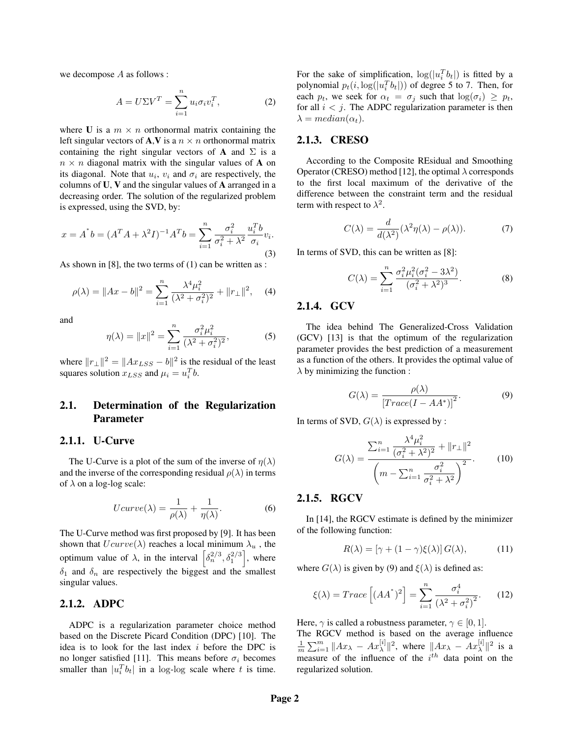we decompose A as follows :

$$
A = U\Sigma V^T = \sum_{i=1}^n u_i \sigma_i v_i^T,
$$
 (2)

where U is a  $m \times n$  orthonormal matrix containing the left singular vectors of **A**,**V** is a  $n \times n$  orthonormal matrix containing the right singular vectors of **A** and  $\Sigma$  is a  $n \times n$  diagonal matrix with the singular values of **A** on its diagonal. Note that  $u_i$ ,  $v_i$  and  $\sigma_i$  are respectively, the columns of U, V and the singular values of A arranged in a decreasing order. The solution of the regularized problem is expressed, using the SVD, by:

$$
x = A^*b = (A^T A + \lambda^2 I)^{-1} A^T b = \sum_{i=1}^n \frac{\sigma_i^2}{\sigma_i^2 + \lambda^2} \frac{u_i^T b}{\sigma_i} v_i.
$$
\n(3)

As shown in [8], the two terms of (1) can be written as :

$$
\rho(\lambda) = \|Ax - b\|^2 = \sum_{i=1}^n \frac{\lambda^4 \mu_i^2}{(\lambda^2 + \sigma_i^2)^2} + \|r_\perp\|^2, \quad (4)
$$

and

$$
\eta(\lambda) = \|x\|^2 = \sum_{i=1}^n \frac{\sigma_i^2 \mu_i^2}{(\lambda^2 + \sigma_i^2)^2},\tag{5}
$$

where  $||r_\perp||^2 = ||Ax_{LSS} - b||^2$  is the residual of the least squares solution  $x_{LSS}$  and  $\mu_i = u_i^T b$ .

# 2.1. Determination of the Regularization Parameter

### 2.1.1. U-Curve

The U-Curve is a plot of the sum of the inverse of  $\eta(\lambda)$ and the inverse of the corresponding residual  $\rho(\lambda)$  in terms of  $\lambda$  on a log-log scale:

$$
Ucurve(\lambda) = \frac{1}{\rho(\lambda)} + \frac{1}{\eta(\lambda)}.
$$
 (6)

The U-Curve method was first proposed by [9]. It has been shown that  $Ucurve(\lambda)$  reaches a local minimum  $\lambda_u$ , the optimum value of  $\lambda$ , in the interval  $\left[\delta_n^{2/3}, \delta_1^{2/3}\right]$ , where  $\delta_1$  and  $\delta_n$  are respectively the biggest and the smallest singular values.

#### 2.1.2. ADPC

ADPC is a regularization parameter choice method based on the Discrete Picard Condition (DPC) [10]. The idea is to look for the last index  $i$  before the DPC is no longer satisfied [11]. This means before  $\sigma_i$  becomes smaller than  $|u_i^T b_t|$  in a log-log scale where t is time.

For the sake of simplification,  $\log(|u_i^T b_t|)$  is fitted by a polynomial  $p_t(i, \log(|u_i^T b_t|))$  of degree 5 to 7. Then, for each  $p_t$ , we seek for  $\alpha_t = \sigma_j$  such that  $\log(\sigma_i) \geq p_t$ , for all  $i < j$ . The ADPC regularization parameter is then  $\lambda = median(\alpha_t)$ .

#### 2.1.3. CRESO

According to the Composite REsidual and Smoothing Operator (CRESO) method [12], the optimal  $\lambda$  corresponds to the first local maximum of the derivative of the difference between the constraint term and the residual term with respect to  $\lambda^2$ .

$$
C(\lambda) = \frac{d}{d(\lambda^2)} (\lambda^2 \eta(\lambda) - \rho(\lambda)).
$$
 (7)

In terms of SVD, this can be written as [8]:

$$
C(\lambda) = \sum_{i=1}^{n} \frac{\sigma_i^2 \mu_i^2 (\sigma_i^2 - 3\lambda^2)}{(\sigma_i^2 + \lambda^2)^3}.
$$
 (8)

### 2.1.4. GCV

The idea behind The Generalized-Cross Validation (GCV) [13] is that the optimum of the regularization parameter provides the best prediction of a measurement as a function of the others. It provides the optimal value of  $\lambda$  by minimizing the function :

$$
G(\lambda) = \frac{\rho(\lambda)}{\left[Trace(I - AA^*)\right]^2}.
$$
 (9)

In terms of SVD,  $G(\lambda)$  is expressed by :

$$
G(\lambda) = \frac{\sum_{i=1}^{n} \frac{\lambda^4 \mu_i^2}{(\sigma_i^2 + \lambda^2)^2} + ||r_\perp||^2}{\left(m - \sum_{i=1}^{n} \frac{\sigma_i^2}{\sigma_i^2 + \lambda^2}\right)^2}.
$$
 (10)

# 2.1.5. RGCV

In [14], the RGCV estimate is defined by the minimizer of the following function:

$$
R(\lambda) = \left[\gamma + (1 - \gamma)\xi(\lambda)\right]G(\lambda),\tag{11}
$$

where  $G(\lambda)$  is given by (9) and  $\xi(\lambda)$  is defined as:

$$
\xi(\lambda) = Trace\left[ (AA^*)^2 \right] = \sum_{i=1}^n \frac{\sigma_i^4}{(\lambda^2 + \sigma_i^2)^2}.
$$
 (12)

Here,  $\gamma$  is called a robustness parameter,  $\gamma \in [0, 1]$ . The RGCV method is based on the average influence  $\frac{1}{m}\sum_{i=1}^{m} \|Ax_{\lambda} - Ax_{\lambda}^{[i]}\|^2$ , where  $\|Ax_{\lambda} - Ax_{\lambda}^{[i]}\|^2$  is a measure of the influence of the  $i^{th}$  data point on the regularized solution.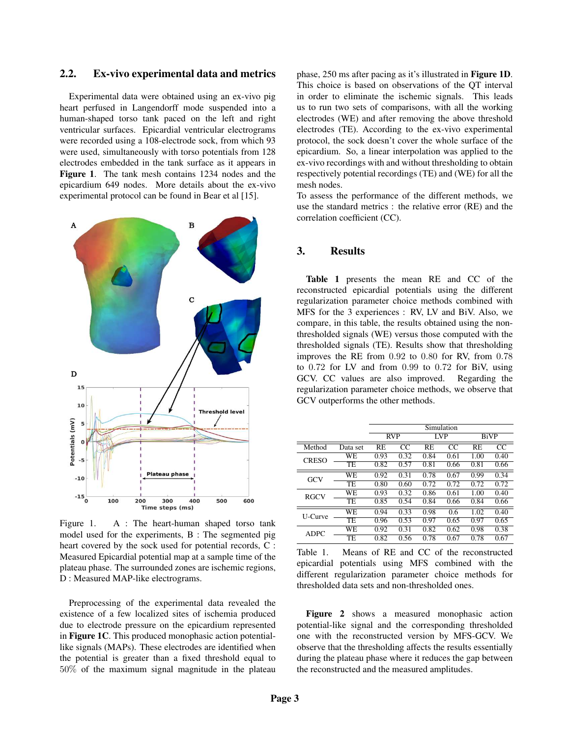# 2.2. Ex-vivo experimental data and metrics

Experimental data were obtained using an ex-vivo pig heart perfused in Langendorff mode suspended into a human-shaped torso tank paced on the left and right ventricular surfaces. Epicardial ventricular electrograms were recorded using a 108-electrode sock, from which 93 were used, simultaneously with torso potentials from 128 electrodes embedded in the tank surface as it appears in Figure 1. The tank mesh contains 1234 nodes and the epicardium 649 nodes. More details about the ex-vivo experimental protocol can be found in Bear et al [15].



Figure 1. A : The heart-human shaped torso tank model used for the experiments, B : The segmented pig heart covered by the sock used for potential records, C : Measured Epicardial potential map at a sample time of the plateau phase. The surrounded zones are ischemic regions, D : Measured MAP-like electrograms.

Preprocessing of the experimental data revealed the existence of a few localized sites of ischemia produced due to electrode pressure on the epicardium represented in Figure 1C. This produced monophasic action potentiallike signals (MAPs). These electrodes are identified when the potential is greater than a fixed threshold equal to 50% of the maximum signal magnitude in the plateau phase, 250 ms after pacing as it's illustrated in Figure 1D. This choice is based on observations of the QT interval in order to eliminate the ischemic signals. This leads us to run two sets of comparisons, with all the working electrodes (WE) and after removing the above threshold electrodes (TE). According to the ex-vivo experimental protocol, the sock doesn't cover the whole surface of the epicardium. So, a linear interpolation was applied to the ex-vivo recordings with and without thresholding to obtain respectively potential recordings (TE) and (WE) for all the mesh nodes.

To assess the performance of the different methods, we use the standard metrics : the relative error (RE) and the correlation coefficient (CC).

# 3. Results

Table 1 presents the mean RE and CC of the reconstructed epicardial potentials using the different regularization parameter choice methods combined with MFS for the 3 experiences : RV, LV and BiV. Also, we compare, in this table, the results obtained using the nonthresholded signals (WE) versus those computed with the thresholded signals (TE). Results show that thresholding improves the RE from 0.92 to 0.80 for RV, from 0.78 to 0.72 for LV and from 0.99 to 0.72 for BiV, using GCV. CC values are also improved. Regarding the regularization parameter choice methods, we observe that GCV outperforms the other methods.

|              |           | Simulation |      |      |      |             |      |
|--------------|-----------|------------|------|------|------|-------------|------|
|              |           | <b>RVP</b> |      | LVP  |      | <b>BiVP</b> |      |
| Method       | Data set  | <b>RE</b>  | CC   | RE.  | CC   | RF.         | CC   |
| <b>CRESO</b> | <b>WE</b> | 0.93       | 0.32 | 0.84 | 0.61 | 1.00        | 0.40 |
|              | TE        | 0.82       | 0.57 | 0.81 | 0.66 | 0.81        | 0.66 |
| GCV          | <b>WE</b> | 0.92       | 0.31 | 0.78 | 0.67 | 0.99        | 0.34 |
|              | TE        | 0.80       | 0.60 | 0.72 | 0.72 | 0.72        | 0.72 |
| <b>RGCV</b>  | <b>WE</b> | 0.93       | 0.32 | 0.86 | 0.61 | 1.00        | 0.40 |
|              | TE        | 0.85       | 0.54 | 0.84 | 0.66 | 0.84        | 0.66 |
| U-Curve      | WE        | 0.94       | 0.33 | 0.98 | 0.6  | 1.02        | 0.40 |
|              | TE        | 0.96       | 0.53 | 0.97 | 0.65 | 0.97        | 0.65 |
| <b>ADPC</b>  | <b>WE</b> | 0.92       | 0.31 | 0.82 | 0.62 | 0.98        | 0.38 |
|              | TE        | 0.82       | 0.56 | 0.78 | 0.67 | 0.78        | 0.67 |

Table 1. Means of RE and CC of the reconstructed epicardial potentials using MFS combined with the different regularization parameter choice methods for thresholded data sets and non-thresholded ones.

Figure 2 shows a measured monophasic action potential-like signal and the corresponding thresholded one with the reconstructed version by MFS-GCV. We observe that the thresholding affects the results essentially during the plateau phase where it reduces the gap between the reconstructed and the measured amplitudes.